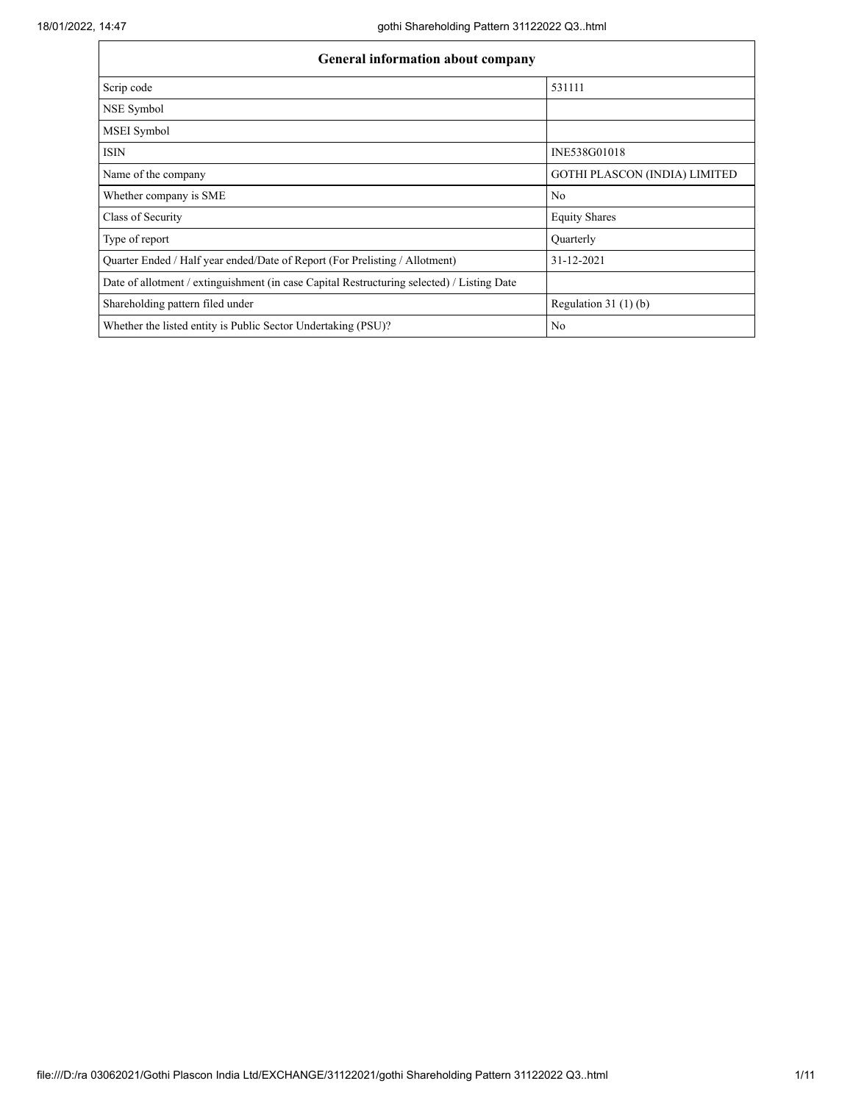| <b>General information about company</b>                                                   |                                      |  |  |  |  |  |  |
|--------------------------------------------------------------------------------------------|--------------------------------------|--|--|--|--|--|--|
| Scrip code                                                                                 | 531111                               |  |  |  |  |  |  |
| NSE Symbol                                                                                 |                                      |  |  |  |  |  |  |
| MSEI Symbol                                                                                |                                      |  |  |  |  |  |  |
| <b>ISIN</b>                                                                                | INE538G01018                         |  |  |  |  |  |  |
| Name of the company                                                                        | <b>GOTHI PLASCON (INDIA) LIMITED</b> |  |  |  |  |  |  |
| Whether company is SME                                                                     | No                                   |  |  |  |  |  |  |
| Class of Security                                                                          | <b>Equity Shares</b>                 |  |  |  |  |  |  |
| Type of report                                                                             | Quarterly                            |  |  |  |  |  |  |
| Quarter Ended / Half year ended/Date of Report (For Prelisting / Allotment)                | 31-12-2021                           |  |  |  |  |  |  |
| Date of allotment / extinguishment (in case Capital Restructuring selected) / Listing Date |                                      |  |  |  |  |  |  |
| Shareholding pattern filed under                                                           | Regulation $31(1)(b)$                |  |  |  |  |  |  |
| Whether the listed entity is Public Sector Undertaking (PSU)?                              | No                                   |  |  |  |  |  |  |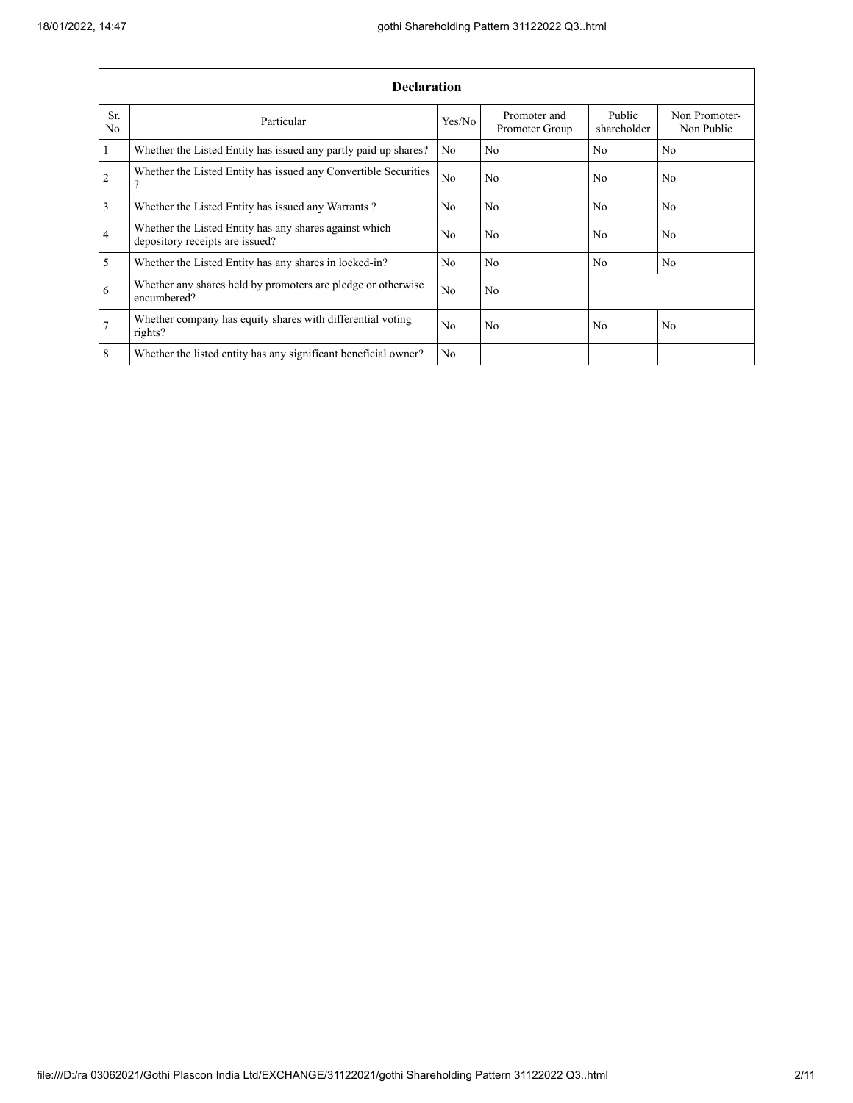|                | <b>Declaration</b>                                                                        |                |                                |                       |                             |  |  |  |  |  |  |
|----------------|-------------------------------------------------------------------------------------------|----------------|--------------------------------|-----------------------|-----------------------------|--|--|--|--|--|--|
| Sr.<br>No.     | Particular                                                                                | Yes/No         | Promoter and<br>Promoter Group | Public<br>shareholder | Non Promoter-<br>Non Public |  |  |  |  |  |  |
| $\mathbf{1}$   | Whether the Listed Entity has issued any partly paid up shares?                           | No             | No                             | No                    | No                          |  |  |  |  |  |  |
| $\overline{2}$ | Whether the Listed Entity has issued any Convertible Securities<br>ີ                      | No             | No                             | No                    | No                          |  |  |  |  |  |  |
| 3              | Whether the Listed Entity has issued any Warrants?                                        | N <sub>0</sub> | No                             | No                    | N <sub>0</sub>              |  |  |  |  |  |  |
| $\overline{4}$ | Whether the Listed Entity has any shares against which<br>depository receipts are issued? | N <sub>0</sub> | No                             | N <sub>0</sub>        | N <sub>0</sub>              |  |  |  |  |  |  |
| $\mathfrak{s}$ | Whether the Listed Entity has any shares in locked-in?                                    | N <sub>0</sub> | No                             | N <sub>0</sub>        | N <sub>0</sub>              |  |  |  |  |  |  |
| 6              | Whether any shares held by promoters are pledge or otherwise<br>encumbered?               | N <sub>o</sub> | N <sub>o</sub>                 |                       |                             |  |  |  |  |  |  |
| $\overline{7}$ | Whether company has equity shares with differential voting<br>rights?                     | No             | No                             | No                    | No                          |  |  |  |  |  |  |
| 8              | Whether the listed entity has any significant beneficial owner?                           | No             |                                |                       |                             |  |  |  |  |  |  |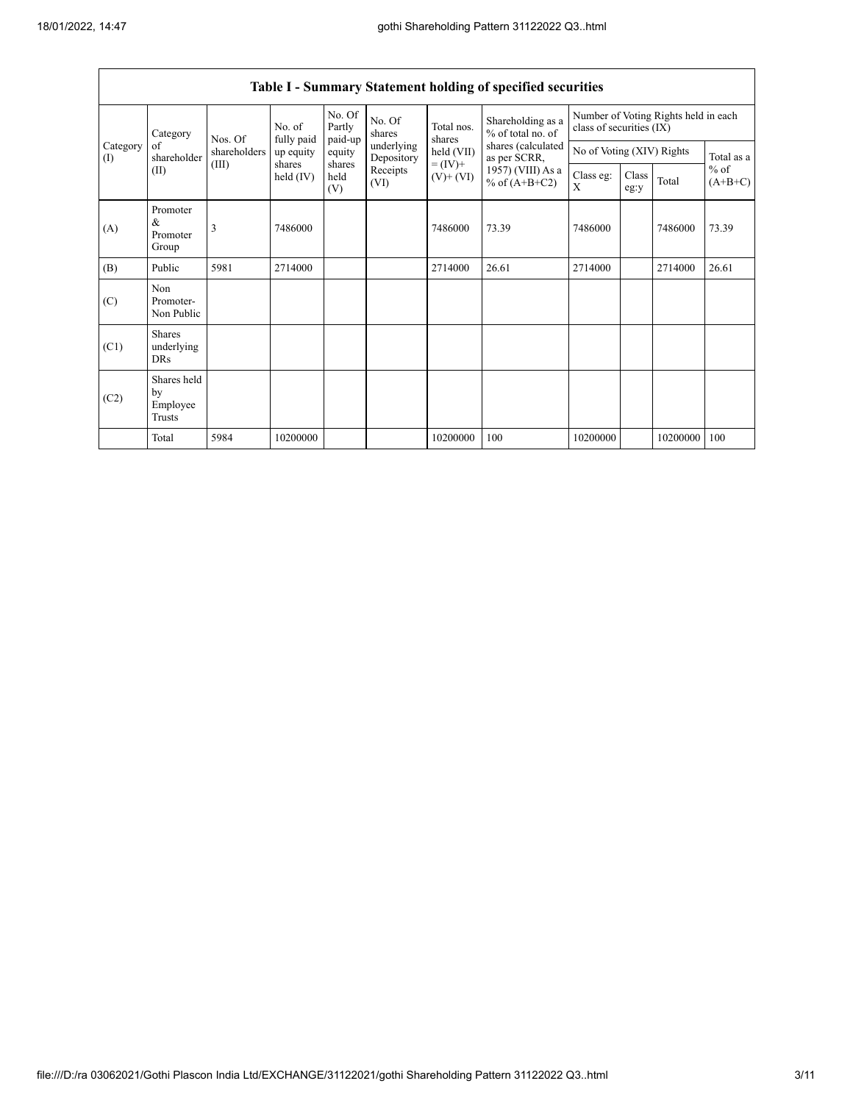|                 | Category                                | Nos. Of      | No. of                  | No. Of<br>Partly      | No. Of<br>shares         | Total nos.                                           | Shareholding as a<br>% of total no. of | Number of Voting Rights held in each<br>class of securities (IX) |               |          |                                   |
|-----------------|-----------------------------------------|--------------|-------------------------|-----------------------|--------------------------|------------------------------------------------------|----------------------------------------|------------------------------------------------------------------|---------------|----------|-----------------------------------|
| Category<br>(I) | of<br>shareholder                       | shareholders | fully paid<br>up equity | paid-up<br>equity     | underlying<br>Depository | shares<br>held (VII)<br>$= (IV) +$<br>$(V)$ + $(VI)$ | shares (calculated<br>as per SCRR,     | No of Voting (XIV) Rights                                        |               |          | Total as a<br>$%$ of<br>$(A+B+C)$ |
| (II)            |                                         | (III)        | shares<br>held $(IV)$   | shares<br>held<br>(V) | Receipts<br>(VI)         |                                                      | 1957) (VIII) As a<br>% of $(A+B+C2)$   | Class eg:<br>X                                                   | Class<br>eg:y | Total    |                                   |
| (A)             | Promoter<br>&<br>Promoter<br>Group      | 3            | 7486000                 |                       |                          | 7486000                                              | 73.39                                  | 7486000                                                          |               | 7486000  | 73.39                             |
| (B)             | Public                                  | 5981         | 2714000                 |                       |                          | 2714000                                              | 26.61                                  | 2714000                                                          |               | 2714000  | 26.61                             |
| (C)             | Non<br>Promoter-<br>Non Public          |              |                         |                       |                          |                                                      |                                        |                                                                  |               |          |                                   |
| (C1)            | <b>Shares</b><br>underlying<br>DRs      |              |                         |                       |                          |                                                      |                                        |                                                                  |               |          |                                   |
| (C2)            | Shares held<br>by<br>Employee<br>Trusts |              |                         |                       |                          |                                                      |                                        |                                                                  |               |          |                                   |
|                 | Total                                   | 5984         | 10200000                |                       |                          | 10200000                                             | 100                                    | 10200000                                                         |               | 10200000 | 100                               |

## **Table I - Summary Statement holding of specified securities**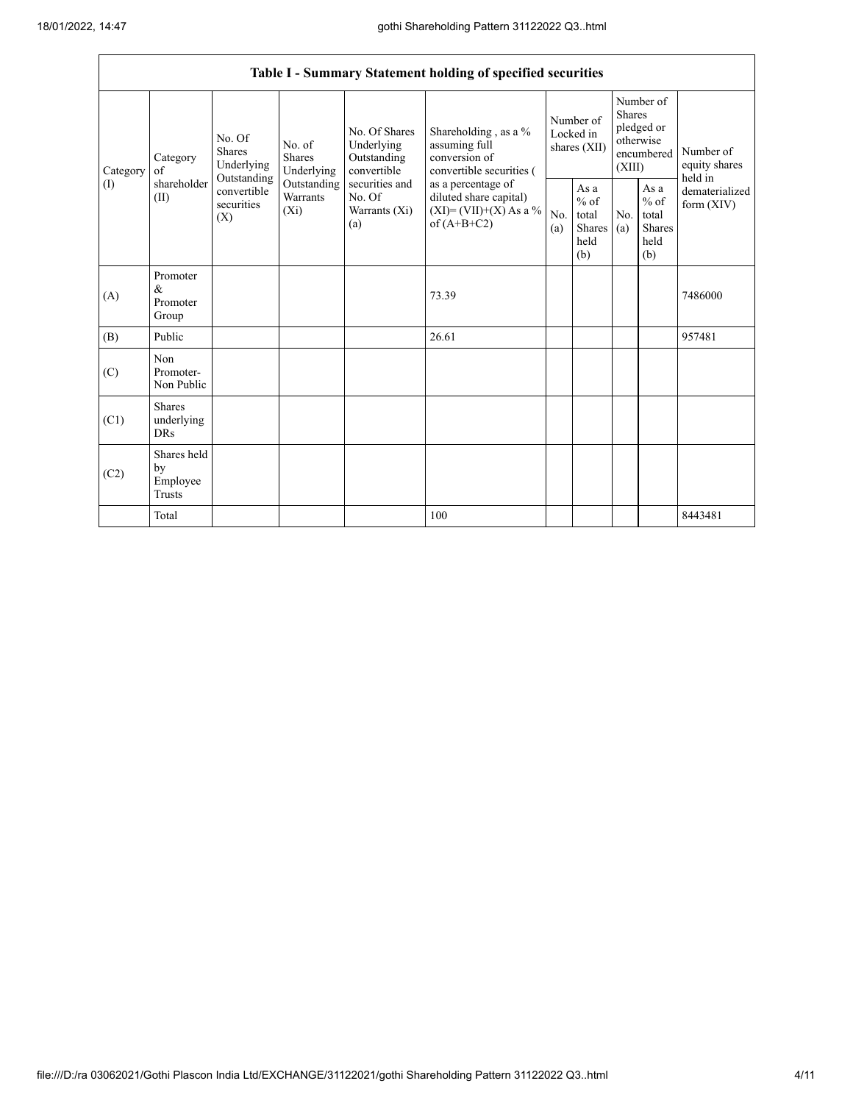|          | Table I - Summary Statement holding of specified securities |                                                                                                                                                                                                                                                                                                                                                                                                                                                |            |                                                  |                          |                                                         |                                           |                                                                               |  |                            |
|----------|-------------------------------------------------------------|------------------------------------------------------------------------------------------------------------------------------------------------------------------------------------------------------------------------------------------------------------------------------------------------------------------------------------------------------------------------------------------------------------------------------------------------|------------|--------------------------------------------------|--------------------------|---------------------------------------------------------|-------------------------------------------|-------------------------------------------------------------------------------|--|----------------------------|
| Category | Category<br>of                                              | Shareholding, as a %<br>No. Of Shares<br>No. Of<br>Underlying<br>assuming full<br>No. of<br><b>Shares</b><br><b>Shares</b><br>conversion of<br>Outstanding<br>Underlying<br>Underlying<br>convertible<br>Outstanding<br>securities and<br>Outstanding<br>as a percentage of<br>convertible<br>Warrants<br>No. Of<br>diluted share capital)<br>securities<br>$(XI)=(VII)+(X) As a %$<br>$(X_i)$<br>Warrants (Xi)<br>(X)<br>of $(A+B+C2)$<br>(a) |            |                                                  | convertible securities ( | Number of<br>Locked in<br>shares (XII)                  |                                           | Number of<br><b>Shares</b><br>pledged or<br>otherwise<br>encumbered<br>(XIII) |  | Number of<br>equity shares |
| (1)      | shareholder<br>(II)                                         |                                                                                                                                                                                                                                                                                                                                                                                                                                                | No.<br>(a) | As a<br>$%$ of<br>total<br>Shares<br>held<br>(b) | No.<br>(a)               | As a<br>$%$ of<br>total<br><b>Shares</b><br>held<br>(b) | held in<br>dematerialized<br>form $(XIV)$ |                                                                               |  |                            |
| (A)      | Promoter<br>&<br>Promoter<br>Group                          |                                                                                                                                                                                                                                                                                                                                                                                                                                                |            |                                                  | 73.39                    |                                                         |                                           |                                                                               |  | 7486000                    |
| (B)      | Public                                                      |                                                                                                                                                                                                                                                                                                                                                                                                                                                |            |                                                  | 26.61                    |                                                         |                                           |                                                                               |  | 957481                     |
| (C)      | Non<br>Promoter-<br>Non Public                              |                                                                                                                                                                                                                                                                                                                                                                                                                                                |            |                                                  |                          |                                                         |                                           |                                                                               |  |                            |
| (C1)     | <b>Shares</b><br>underlying<br><b>DRs</b>                   |                                                                                                                                                                                                                                                                                                                                                                                                                                                |            |                                                  |                          |                                                         |                                           |                                                                               |  |                            |
| (C2)     | Shares held<br>by<br>Employee<br>Trusts                     |                                                                                                                                                                                                                                                                                                                                                                                                                                                |            |                                                  |                          |                                                         |                                           |                                                                               |  |                            |
|          | Total                                                       |                                                                                                                                                                                                                                                                                                                                                                                                                                                |            |                                                  | 100                      |                                                         |                                           |                                                                               |  | 8443481                    |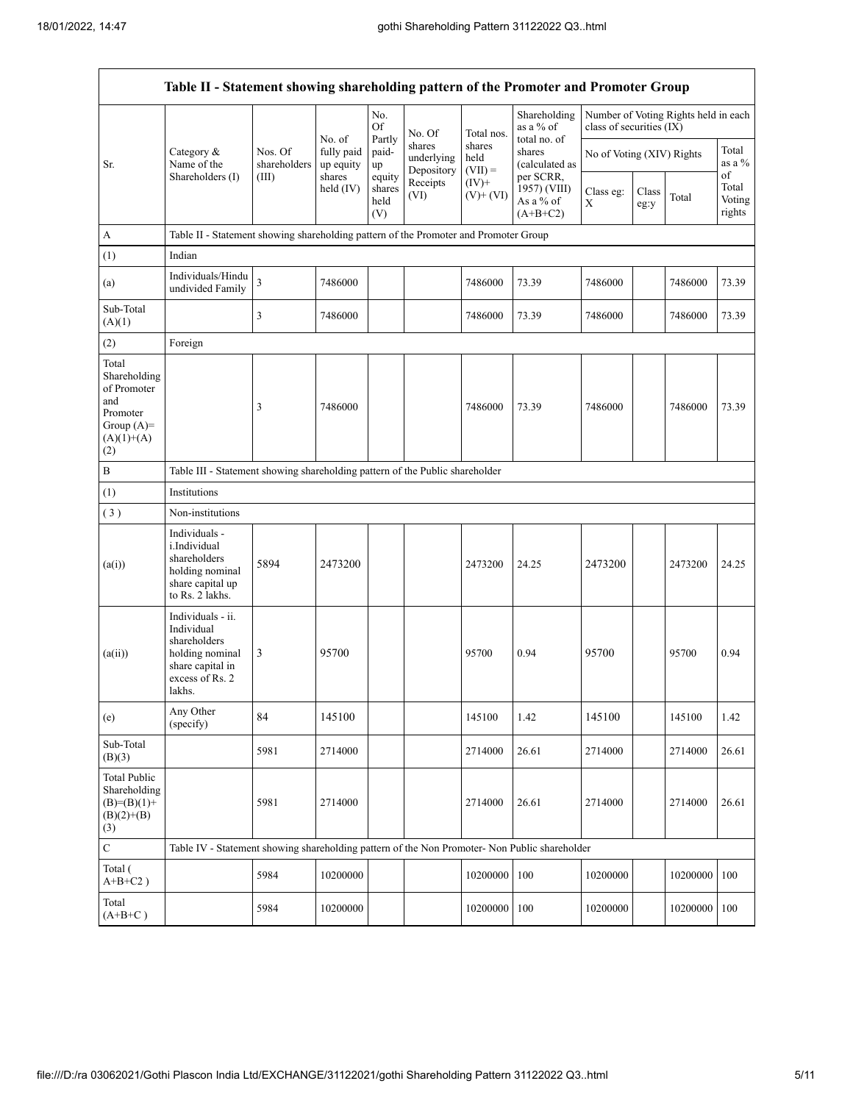| Table II - Statement showing shareholding pattern of the Promoter and Promoter Group           |                                                                                                                     |                         |                                   |                                 |                                    |                             |                                                                       |                                                                  |               |          |                           |
|------------------------------------------------------------------------------------------------|---------------------------------------------------------------------------------------------------------------------|-------------------------|-----------------------------------|---------------------------------|------------------------------------|-----------------------------|-----------------------------------------------------------------------|------------------------------------------------------------------|---------------|----------|---------------------------|
|                                                                                                |                                                                                                                     |                         |                                   | No.<br>Of                       | No. Of                             | Total nos.                  | Shareholding<br>as a % of<br>total no. of<br>shares<br>(calculated as | Number of Voting Rights held in each<br>class of securities (IX) |               |          |                           |
| Sr.                                                                                            | Category &<br>Name of the                                                                                           | Nos. Of<br>shareholders | No. of<br>fully paid<br>up equity | Partly<br>paid-<br>up           | shares<br>underlying<br>Depository | shares<br>held<br>$(VII) =$ |                                                                       | No of Voting (XIV) Rights                                        |               |          | Total<br>as a $%$<br>of   |
|                                                                                                | Shareholders (I)                                                                                                    | (III)                   | shares<br>held (IV)               | equity<br>shares<br>held<br>(V) | Receipts<br>(VI)                   | $(IV)$ +<br>$(V)$ + $(VI)$  | per SCRR,<br>1957) (VIII)<br>As a % of<br>$(A+B+C2)$                  | Class eg:<br>X                                                   | Class<br>eg:y | Total    | Total<br>Voting<br>rights |
| A                                                                                              | Table II - Statement showing shareholding pattern of the Promoter and Promoter Group                                |                         |                                   |                                 |                                    |                             |                                                                       |                                                                  |               |          |                           |
| (1)                                                                                            | Indian                                                                                                              |                         |                                   |                                 |                                    |                             |                                                                       |                                                                  |               |          |                           |
| (a)                                                                                            | Individuals/Hindu<br>undivided Family                                                                               | $\overline{\mathbf{3}}$ | 7486000                           |                                 |                                    | 7486000                     | 73.39                                                                 | 7486000                                                          |               | 7486000  | 73.39                     |
| Sub-Total<br>(A)(1)                                                                            |                                                                                                                     | 3                       | 7486000                           |                                 |                                    | 7486000                     | 73.39                                                                 | 7486000                                                          |               | 7486000  | 73.39                     |
| (2)                                                                                            | Foreign                                                                                                             |                         |                                   |                                 |                                    |                             |                                                                       |                                                                  |               |          |                           |
| Total<br>Shareholding<br>of Promoter<br>and<br>Promoter<br>Group $(A)=$<br>$(A)(1)+(A)$<br>(2) |                                                                                                                     | 3                       | 7486000                           |                                 |                                    | 7486000                     | 73.39                                                                 | 7486000                                                          |               | 7486000  | 73.39                     |
| $\, {\bf B}$                                                                                   | Table III - Statement showing shareholding pattern of the Public shareholder                                        |                         |                                   |                                 |                                    |                             |                                                                       |                                                                  |               |          |                           |
| (1)                                                                                            | Institutions                                                                                                        |                         |                                   |                                 |                                    |                             |                                                                       |                                                                  |               |          |                           |
| (3)                                                                                            | Non-institutions                                                                                                    |                         |                                   |                                 |                                    |                             |                                                                       |                                                                  |               |          |                           |
| (a(i))                                                                                         | Individuals -<br>i.Individual<br>shareholders<br>holding nominal<br>share capital up<br>to Rs. 2 lakhs.             | 5894                    | 2473200                           |                                 |                                    | 2473200                     | 24.25                                                                 | 2473200                                                          |               | 2473200  | 24.25                     |
| (a(ii))                                                                                        | Individuals - ii.<br>Individual<br>shareholders<br>holding nominal<br>share capital in<br>excess of Rs. 2<br>lakhs. | 3                       | 95700                             |                                 |                                    | 95700                       | 0.94                                                                  | 95700                                                            |               | 95700    | 0.94                      |
| (e)                                                                                            | Any Other<br>(specify)                                                                                              | 84                      | 145100                            |                                 |                                    | 145100                      | 1.42                                                                  | 145100                                                           |               | 145100   | 1.42                      |
| Sub-Total<br>(B)(3)                                                                            |                                                                                                                     | 5981                    | 2714000                           |                                 |                                    | 2714000                     | 26.61                                                                 | 2714000                                                          |               | 2714000  | 26.61                     |
| <b>Total Public</b><br>Shareholding<br>$(B)=(B)(1)+$<br>$(B)(2)+(B)$<br>(3)                    |                                                                                                                     | 5981                    | 2714000                           |                                 |                                    | 2714000                     | 26.61                                                                 | 2714000                                                          |               | 2714000  | 26.61                     |
| $\mathbf C$                                                                                    | Table IV - Statement showing shareholding pattern of the Non Promoter- Non Public shareholder                       |                         |                                   |                                 |                                    |                             |                                                                       |                                                                  |               |          |                           |
| Total (<br>$A+B+C2$ )                                                                          |                                                                                                                     | 5984                    | 10200000                          |                                 |                                    | 10200000                    | 100                                                                   | 10200000                                                         |               | 10200000 | 100                       |
| Total<br>$(A+B+C)$                                                                             |                                                                                                                     | 5984                    | 10200000                          |                                 |                                    | 10200000                    | 100                                                                   | 10200000                                                         |               | 10200000 | 100                       |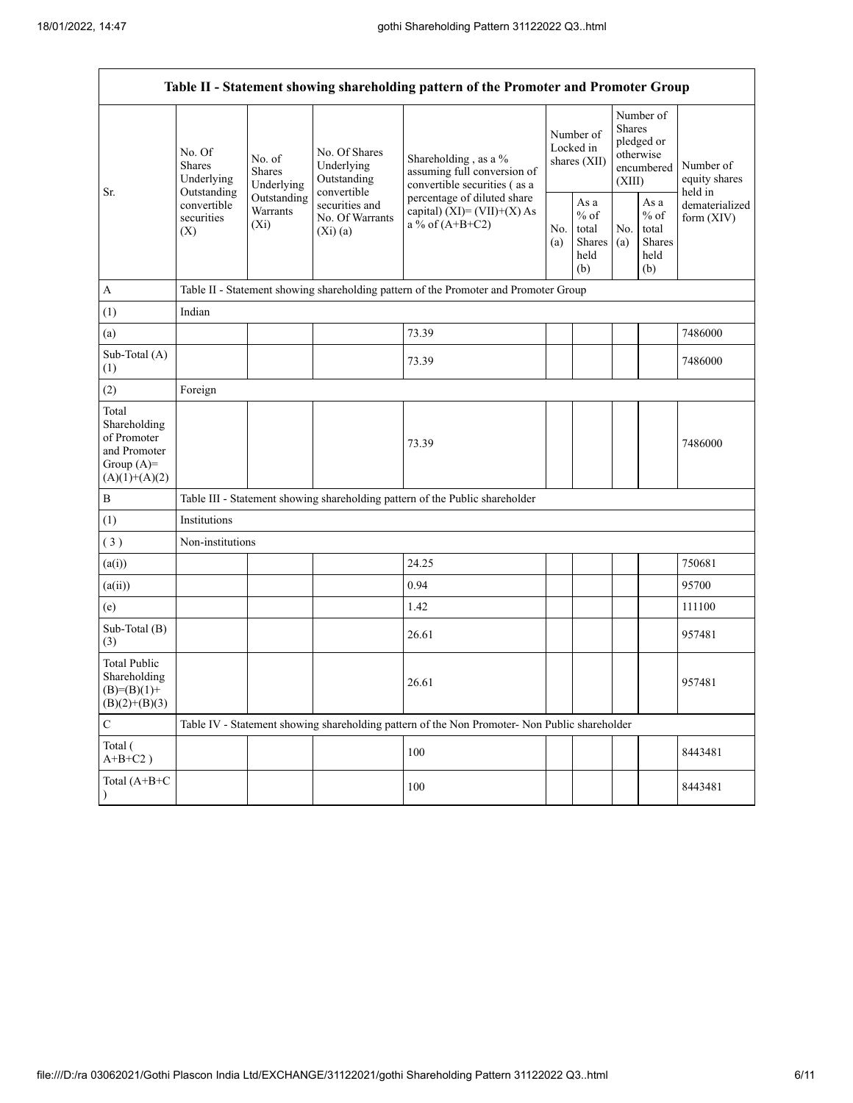|                                                                                         |                                                           |                                    |                                                                | Table II - Statement showing shareholding pattern of the Promoter and Promoter Group          |                                        |                                                  |                                                                        |                                                            |                                       |  |
|-----------------------------------------------------------------------------------------|-----------------------------------------------------------|------------------------------------|----------------------------------------------------------------|-----------------------------------------------------------------------------------------------|----------------------------------------|--------------------------------------------------|------------------------------------------------------------------------|------------------------------------------------------------|---------------------------------------|--|
|                                                                                         | No. Of<br>No. of<br>Shares<br><b>Shares</b><br>Underlying | Underlying                         | No. Of Shares<br>Underlying<br>Outstanding                     | Shareholding, as a %<br>assuming full conversion of<br>convertible securities (as a           | Number of<br>Locked in<br>shares (XII) |                                                  | Number of<br>Shares<br>pledged or<br>otherwise<br>encumbered<br>(XIII) |                                                            | Number of<br>equity shares<br>held in |  |
| Sr.                                                                                     | Outstanding<br>convertible<br>securities<br>(X)           | Outstanding<br>Warrants<br>$(X_i)$ | convertible<br>securities and<br>No. Of Warrants<br>$(Xi)$ (a) | percentage of diluted share<br>capital) $(XI) = (VII)+(X) As$<br>a % of $(A+B+C2)$            |                                        | As a<br>$%$ of<br>total<br>Shares<br>held<br>(b) | No.<br>(a)                                                             | As $\mathbf a$<br>$%$ of<br>total<br>Shares<br>held<br>(b) | dematerialized<br>form (XIV)          |  |
| $\mathbf{A}$                                                                            |                                                           |                                    |                                                                | Table II - Statement showing shareholding pattern of the Promoter and Promoter Group          |                                        |                                                  |                                                                        |                                                            |                                       |  |
| (1)                                                                                     | Indian                                                    |                                    |                                                                |                                                                                               |                                        |                                                  |                                                                        |                                                            |                                       |  |
| (a)                                                                                     |                                                           |                                    |                                                                | 73.39                                                                                         |                                        |                                                  |                                                                        |                                                            | 7486000                               |  |
| Sub-Total (A)<br>(1)                                                                    |                                                           |                                    |                                                                | 73.39                                                                                         |                                        |                                                  |                                                                        |                                                            | 7486000                               |  |
| (2)                                                                                     | Foreign                                                   |                                    |                                                                |                                                                                               |                                        |                                                  |                                                                        |                                                            |                                       |  |
| Total<br>Shareholding<br>of Promoter<br>and Promoter<br>Group $(A)=$<br>$(A)(1)+(A)(2)$ |                                                           |                                    |                                                                | 73.39                                                                                         |                                        |                                                  |                                                                        |                                                            | 7486000                               |  |
| $\, {\bf B}$                                                                            |                                                           |                                    |                                                                | Table III - Statement showing shareholding pattern of the Public shareholder                  |                                        |                                                  |                                                                        |                                                            |                                       |  |
| (1)                                                                                     | Institutions                                              |                                    |                                                                |                                                                                               |                                        |                                                  |                                                                        |                                                            |                                       |  |
| (3)                                                                                     | Non-institutions                                          |                                    |                                                                |                                                                                               |                                        |                                                  |                                                                        |                                                            |                                       |  |
| (a(i))                                                                                  |                                                           |                                    |                                                                | 24.25                                                                                         |                                        |                                                  |                                                                        |                                                            | 750681                                |  |
| (a(ii))                                                                                 |                                                           |                                    |                                                                | 0.94                                                                                          |                                        |                                                  |                                                                        |                                                            | 95700                                 |  |
| (e)                                                                                     |                                                           |                                    |                                                                | 1.42                                                                                          |                                        |                                                  |                                                                        |                                                            | 111100                                |  |
| Sub-Total (B)<br>(3)                                                                    |                                                           |                                    |                                                                | 26.61                                                                                         |                                        |                                                  |                                                                        |                                                            | 957481                                |  |
| <b>Total Public</b><br>Shareholding<br>$(B)=(B)(1)+$<br>$(B)(2)+(B)(3)$                 |                                                           |                                    |                                                                | 26.61                                                                                         |                                        |                                                  |                                                                        |                                                            | 957481                                |  |
| $\mathbf C$                                                                             |                                                           |                                    |                                                                | Table IV - Statement showing shareholding pattern of the Non Promoter- Non Public shareholder |                                        |                                                  |                                                                        |                                                            |                                       |  |
| Total (<br>$A+B+C2$ )                                                                   |                                                           |                                    |                                                                | 100                                                                                           |                                        |                                                  |                                                                        |                                                            | 8443481                               |  |
| Total (A+B+C                                                                            |                                                           |                                    |                                                                | 100                                                                                           |                                        |                                                  |                                                                        |                                                            | 8443481                               |  |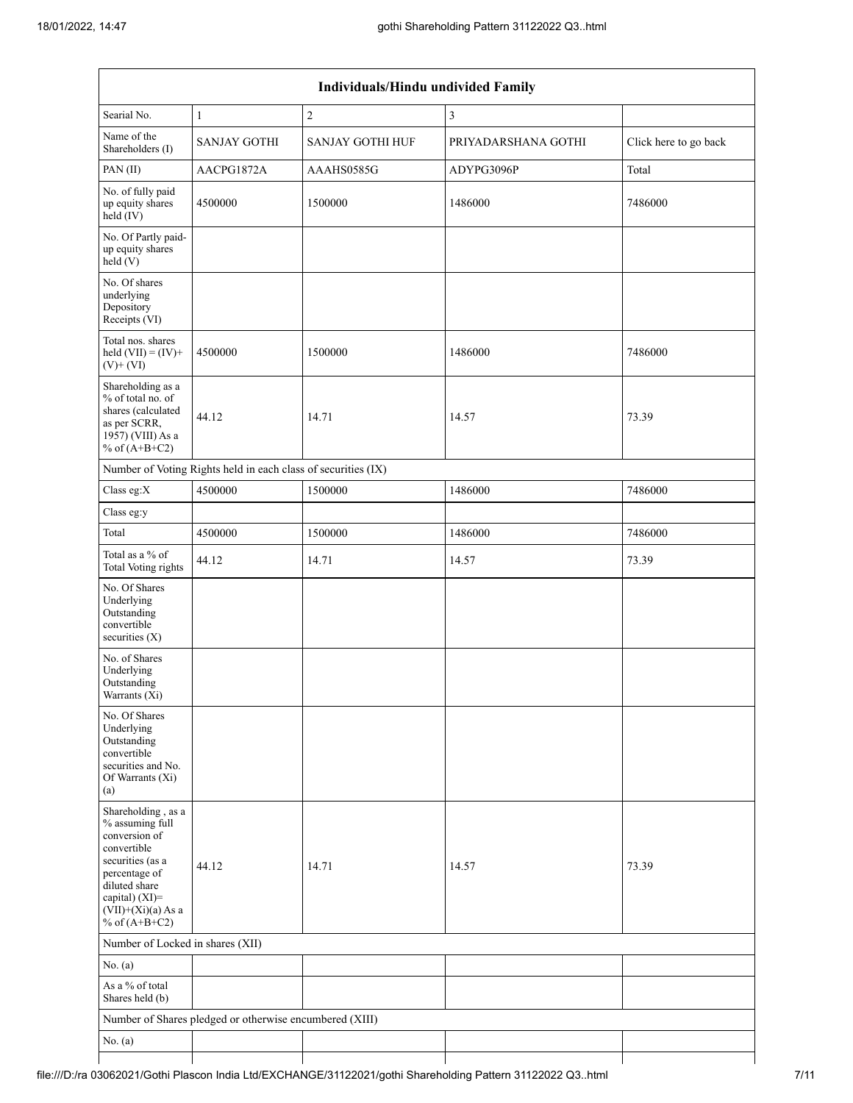| Individuals/Hindu undivided Family                                                                                                                                                       |                                                               |                         |                     |                       |  |  |  |  |
|------------------------------------------------------------------------------------------------------------------------------------------------------------------------------------------|---------------------------------------------------------------|-------------------------|---------------------|-----------------------|--|--|--|--|
| Searial No.                                                                                                                                                                              | 1                                                             | $\sqrt{2}$              | $\mathfrak{Z}$      |                       |  |  |  |  |
| Name of the<br>Shareholders (I)                                                                                                                                                          | <b>SANJAY GOTHI</b>                                           | <b>SANJAY GOTHI HUF</b> | PRIYADARSHANA GOTHI | Click here to go back |  |  |  |  |
| PAN(II)                                                                                                                                                                                  | AACPG1872A                                                    | AAAHS0585G              | ADYPG3096P          | Total                 |  |  |  |  |
| No. of fully paid<br>up equity shares<br>$held$ (IV)                                                                                                                                     | 4500000                                                       | 1500000                 | 1486000             | 7486000               |  |  |  |  |
| No. Of Partly paid-<br>up equity shares<br>held (V)                                                                                                                                      |                                                               |                         |                     |                       |  |  |  |  |
| No. Of shares<br>underlying<br>Depository<br>Receipts (VI)                                                                                                                               |                                                               |                         |                     |                       |  |  |  |  |
| Total nos. shares<br>held $(VII) = (IV) +$<br>$(V)$ + $(VI)$                                                                                                                             | 4500000                                                       | 1500000                 | 1486000             | 7486000               |  |  |  |  |
| Shareholding as a<br>% of total no. of<br>shares (calculated<br>as per SCRR,<br>1957) (VIII) As a<br>% of $(A+B+C2)$                                                                     | 44.12                                                         | 14.71                   | 14.57               | 73.39                 |  |  |  |  |
|                                                                                                                                                                                          | Number of Voting Rights held in each class of securities (IX) |                         |                     |                       |  |  |  |  |
| Class eg:X                                                                                                                                                                               | 4500000                                                       | 1500000                 | 1486000             | 7486000               |  |  |  |  |
| Class eg:y                                                                                                                                                                               |                                                               |                         |                     |                       |  |  |  |  |
| Total                                                                                                                                                                                    | 4500000                                                       | 1500000                 | 1486000             | 7486000               |  |  |  |  |
| Total as a % of<br>Total Voting rights                                                                                                                                                   | 44.12                                                         | 14.71                   | 14.57               | 73.39                 |  |  |  |  |
| No. Of Shares<br>Underlying<br>Outstanding<br>convertible<br>securities (X)                                                                                                              |                                                               |                         |                     |                       |  |  |  |  |
| No. of Shares<br>Underlying<br>Outstanding<br>Warrants (Xi)                                                                                                                              |                                                               |                         |                     |                       |  |  |  |  |
| No. Of Shares<br>Underlying<br>Outstanding<br>convertible<br>securities and No.<br>Of Warrants (Xi)<br>(a)                                                                               |                                                               |                         |                     |                       |  |  |  |  |
| Shareholding, as a<br>% assuming full<br>conversion of<br>convertible<br>securities (as a<br>percentage of<br>diluted share<br>capital) (XI)=<br>$(VII)+(Xi)(a)$ As a<br>% of $(A+B+C2)$ | 44.12                                                         | 14.71                   | 14.57               | 73.39                 |  |  |  |  |
| Number of Locked in shares (XII)                                                                                                                                                         |                                                               |                         |                     |                       |  |  |  |  |
| No. (a)                                                                                                                                                                                  |                                                               |                         |                     |                       |  |  |  |  |
| As a % of total<br>Shares held (b)                                                                                                                                                       |                                                               |                         |                     |                       |  |  |  |  |
|                                                                                                                                                                                          | Number of Shares pledged or otherwise encumbered (XIII)       |                         |                     |                       |  |  |  |  |
| No. $(a)$                                                                                                                                                                                |                                                               |                         |                     |                       |  |  |  |  |
|                                                                                                                                                                                          |                                                               |                         |                     |                       |  |  |  |  |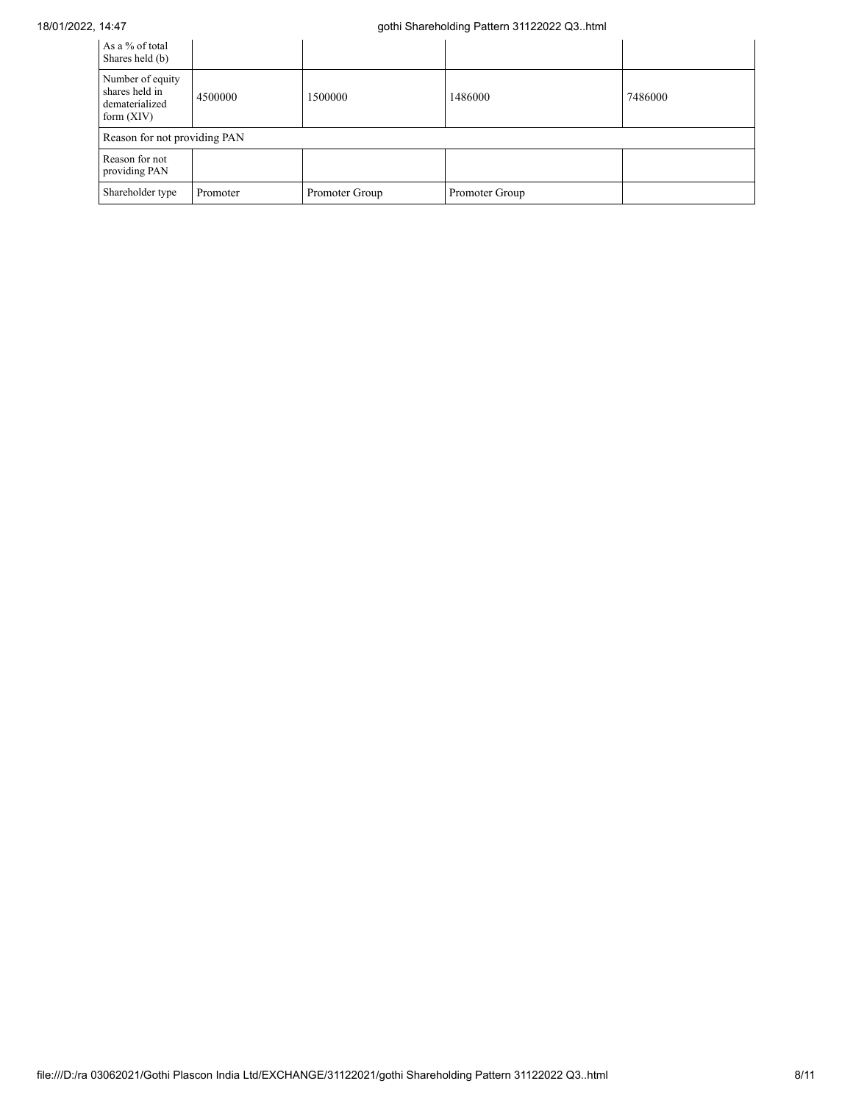| As a % of total<br>Shares held (b)                                   |          |                |                |         |
|----------------------------------------------------------------------|----------|----------------|----------------|---------|
| Number of equity<br>shares held in<br>dematerialized<br>form $(XIV)$ | 4500000  | 1500000        | 1486000        | 7486000 |
| Reason for not providing PAN                                         |          |                |                |         |
| Reason for not<br>providing PAN                                      |          |                |                |         |
| Shareholder type                                                     | Promoter | Promoter Group | Promoter Group |         |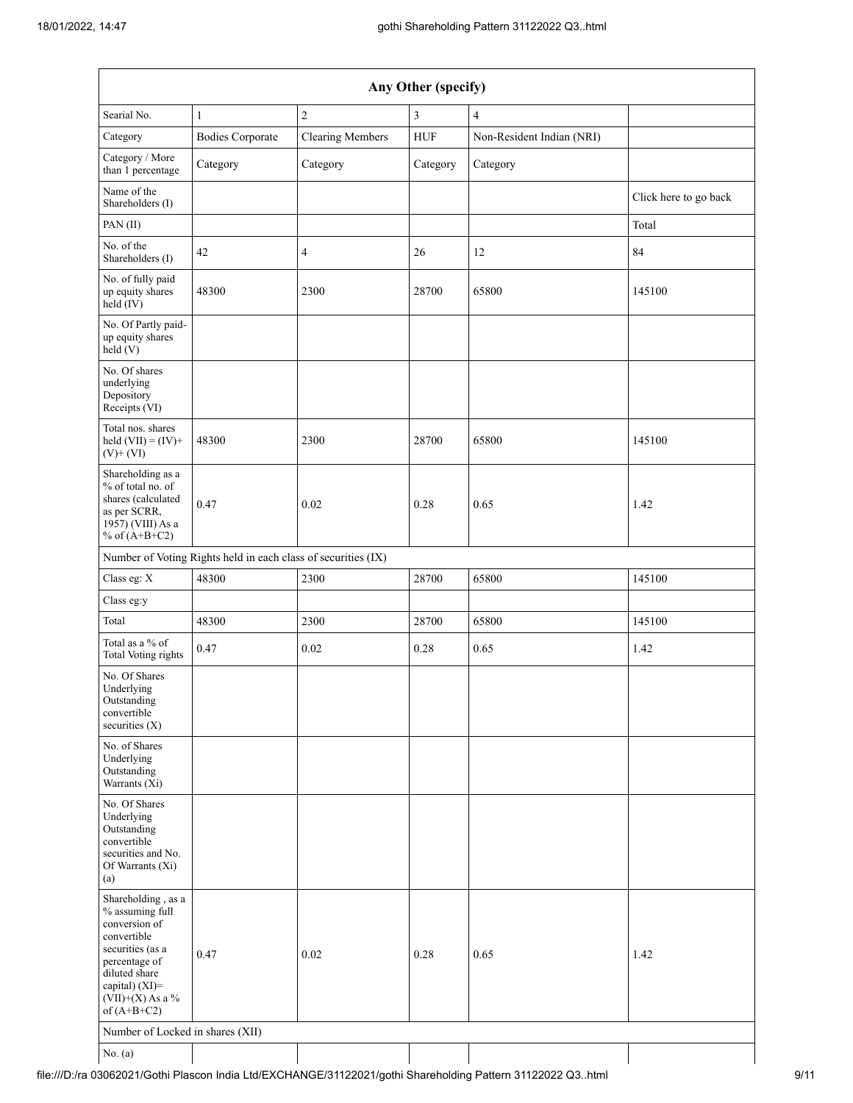| $\overline{c}$<br>$\mathbf{1}$<br>3<br>$\overline{4}$<br>${\rm HUF}$<br><b>Bodies Corporate</b><br><b>Clearing Members</b><br>Non-Resident Indian (NRI)<br>Category<br>Category<br>Category<br>Category<br>Click here to go back<br>Total<br>84<br>42<br>4<br>26<br>12<br>48300<br>2300<br>28700<br>65800<br>145100<br>48300<br>2300<br>28700<br>65800<br>145100<br>0.47<br>0.02<br>0.28<br>0.65<br>1.42<br>Number of Voting Rights held in each class of securities (IX)<br>48300<br>28700<br>2300<br>65800<br>145100<br>48300<br>2300<br>28700<br>65800<br>145100<br>0.47<br>0.02<br>0.65<br>0.28<br>1.42<br>0.47<br>0.02<br>0.28<br>0.65<br>1.42<br>Number of Locked in shares (XII) | Any Other (specify)                                                                                                                                                                     |  |  |  |  |  |  |  |  |
|-----------------------------------------------------------------------------------------------------------------------------------------------------------------------------------------------------------------------------------------------------------------------------------------------------------------------------------------------------------------------------------------------------------------------------------------------------------------------------------------------------------------------------------------------------------------------------------------------------------------------------------------------------------------------------------------|-----------------------------------------------------------------------------------------------------------------------------------------------------------------------------------------|--|--|--|--|--|--|--|--|
|                                                                                                                                                                                                                                                                                                                                                                                                                                                                                                                                                                                                                                                                                         | Searial No.                                                                                                                                                                             |  |  |  |  |  |  |  |  |
|                                                                                                                                                                                                                                                                                                                                                                                                                                                                                                                                                                                                                                                                                         | Category                                                                                                                                                                                |  |  |  |  |  |  |  |  |
|                                                                                                                                                                                                                                                                                                                                                                                                                                                                                                                                                                                                                                                                                         | Category / More<br>than 1 percentage                                                                                                                                                    |  |  |  |  |  |  |  |  |
|                                                                                                                                                                                                                                                                                                                                                                                                                                                                                                                                                                                                                                                                                         | Name of the<br>Shareholders (I)                                                                                                                                                         |  |  |  |  |  |  |  |  |
|                                                                                                                                                                                                                                                                                                                                                                                                                                                                                                                                                                                                                                                                                         | PAN(II)                                                                                                                                                                                 |  |  |  |  |  |  |  |  |
|                                                                                                                                                                                                                                                                                                                                                                                                                                                                                                                                                                                                                                                                                         | No. of the<br>Shareholders (I)                                                                                                                                                          |  |  |  |  |  |  |  |  |
|                                                                                                                                                                                                                                                                                                                                                                                                                                                                                                                                                                                                                                                                                         | No. of fully paid<br>up equity shares<br>held (IV)                                                                                                                                      |  |  |  |  |  |  |  |  |
|                                                                                                                                                                                                                                                                                                                                                                                                                                                                                                                                                                                                                                                                                         | No. Of Partly paid-<br>up equity shares<br>held (V)                                                                                                                                     |  |  |  |  |  |  |  |  |
|                                                                                                                                                                                                                                                                                                                                                                                                                                                                                                                                                                                                                                                                                         | No. Of shares<br>underlying<br>Depository<br>Receipts (VI)                                                                                                                              |  |  |  |  |  |  |  |  |
|                                                                                                                                                                                                                                                                                                                                                                                                                                                                                                                                                                                                                                                                                         | Total nos. shares<br>held $(VII) = (IV) +$<br>$(V)$ + $(VI)$                                                                                                                            |  |  |  |  |  |  |  |  |
|                                                                                                                                                                                                                                                                                                                                                                                                                                                                                                                                                                                                                                                                                         | Shareholding as a<br>% of total no. of<br>shares (calculated<br>as per SCRR,<br>1957) (VIII) As a<br>% of $(A+B+C2)$                                                                    |  |  |  |  |  |  |  |  |
|                                                                                                                                                                                                                                                                                                                                                                                                                                                                                                                                                                                                                                                                                         |                                                                                                                                                                                         |  |  |  |  |  |  |  |  |
|                                                                                                                                                                                                                                                                                                                                                                                                                                                                                                                                                                                                                                                                                         | Class eg: X                                                                                                                                                                             |  |  |  |  |  |  |  |  |
|                                                                                                                                                                                                                                                                                                                                                                                                                                                                                                                                                                                                                                                                                         | Class eg:y                                                                                                                                                                              |  |  |  |  |  |  |  |  |
|                                                                                                                                                                                                                                                                                                                                                                                                                                                                                                                                                                                                                                                                                         | Total                                                                                                                                                                                   |  |  |  |  |  |  |  |  |
|                                                                                                                                                                                                                                                                                                                                                                                                                                                                                                                                                                                                                                                                                         | Total as a % of<br>Total Voting rights                                                                                                                                                  |  |  |  |  |  |  |  |  |
|                                                                                                                                                                                                                                                                                                                                                                                                                                                                                                                                                                                                                                                                                         | No. Of Shares<br>Underlying<br>Outstanding<br>convertible<br>securities $(X)$                                                                                                           |  |  |  |  |  |  |  |  |
|                                                                                                                                                                                                                                                                                                                                                                                                                                                                                                                                                                                                                                                                                         | No. of Shares<br>Underlying<br>Outstanding<br>Warrants (Xi)                                                                                                                             |  |  |  |  |  |  |  |  |
|                                                                                                                                                                                                                                                                                                                                                                                                                                                                                                                                                                                                                                                                                         | No. Of Shares<br>Underlying<br>Outstanding<br>convertible<br>securities and No.<br>Of Warrants (Xi)<br>(a)                                                                              |  |  |  |  |  |  |  |  |
|                                                                                                                                                                                                                                                                                                                                                                                                                                                                                                                                                                                                                                                                                         | Shareholding, as a<br>% assuming full<br>conversion of<br>convertible<br>securities (as a<br>percentage of<br>diluted share<br>capital) $(XI)$ =<br>$(VII)+(X)$ As a %<br>of $(A+B+C2)$ |  |  |  |  |  |  |  |  |
|                                                                                                                                                                                                                                                                                                                                                                                                                                                                                                                                                                                                                                                                                         | No. $(a)$                                                                                                                                                                               |  |  |  |  |  |  |  |  |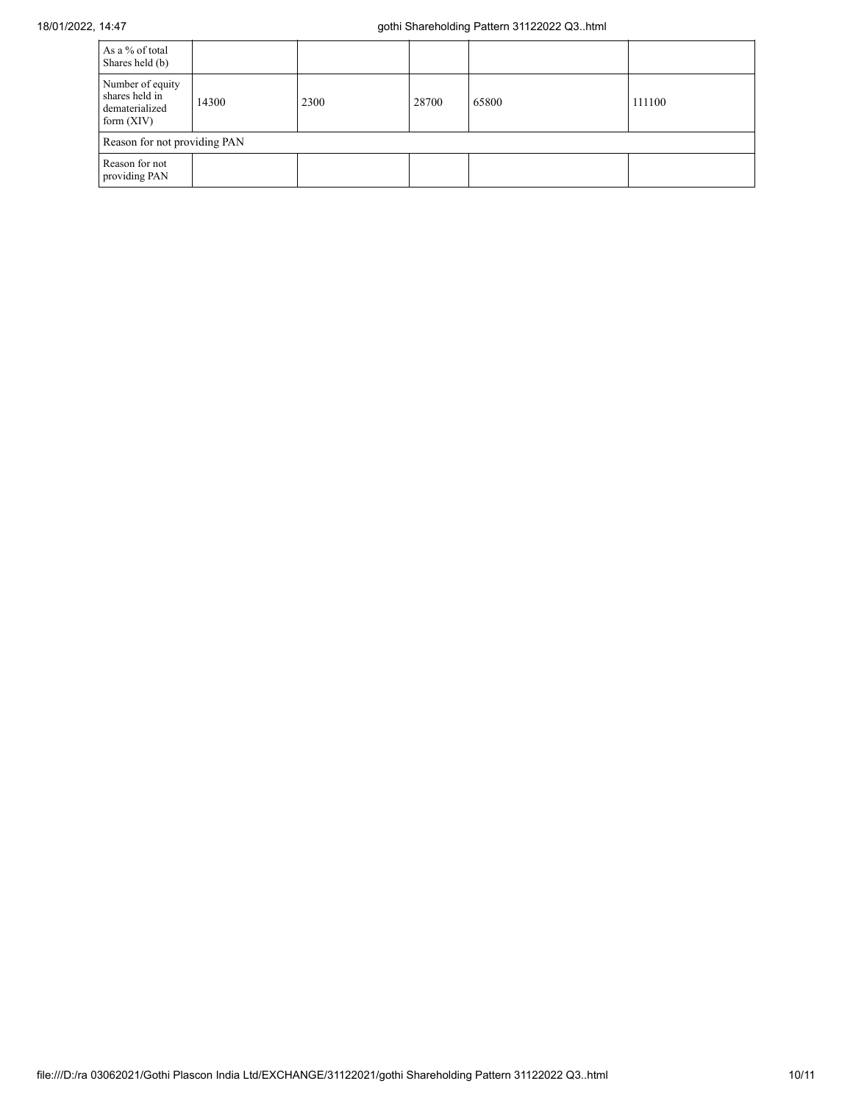| As a % of total<br>Shares held (b)                                   |       |      |       |       |        |
|----------------------------------------------------------------------|-------|------|-------|-------|--------|
| Number of equity<br>shares held in<br>dematerialized<br>form $(XIV)$ | 14300 | 2300 | 28700 | 65800 | 111100 |
| Reason for not providing PAN                                         |       |      |       |       |        |
| Reason for not<br>providing PAN                                      |       |      |       |       |        |